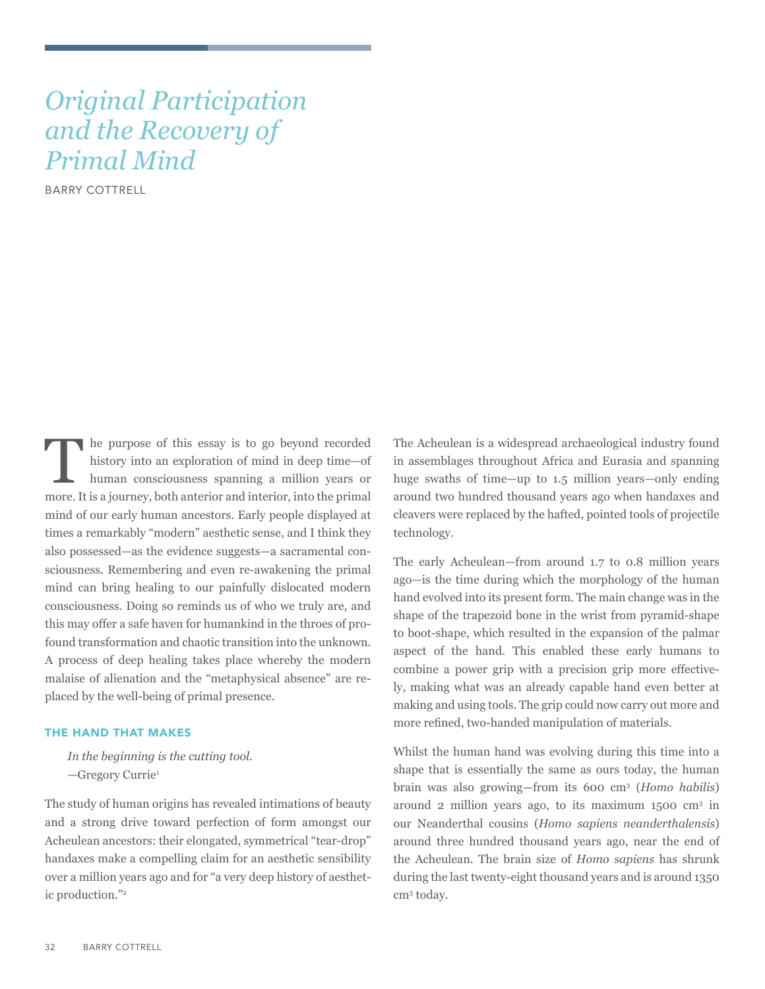# *Original Participation and the Recovery of Primal Mind*

BARRY COTTRELL

The purpose of this essay is to go beyond recorded<br>history into an exploration of mind in deep time—of<br>human consciousness spanning a million years or<br>more Itis element both ortarior and interior into the primel history into an exploration of mind in deep time—of human consciousness spanning a million years or more. It is a journey, both anterior and interior, into the primal mind of our early human ancestors. Early people displayed at times a remarkably "modern" aesthetic sense, and I think they also possessed—as the evidence suggests—a sacramental consciousness. Remembering and even re-awakening the primal mind can bring healing to our painfully dislocated modern consciousness. Doing so reminds us of who we truly are, and this may offer a safe haven for humankind in the throes of profound transformation and chaotic transition into the unknown. A process of deep healing takes place whereby the modern malaise of alienation and the "metaphysical absence" are replaced by the well-being of primal presence.

## THE HAND THAT MAKES

*In the beginning is the cutting tool.* —Gregory Currie<sup>1</sup>

The study of human origins has revealed intimations of beauty and a strong drive toward perfection of form amongst our Acheulean ancestors: their elongated, symmetrical "tear-drop" handaxes make a compelling claim for an aesthetic sensibility over a million years ago and for "a very deep history of aesthetic production."<sup>2</sup>

The Acheulean is a widespread archaeological industry found in assemblages throughout Africa and Eurasia and spanning huge swaths of time—up to 1.5 million years—only ending around two hundred thousand years ago when handaxes and cleavers were replaced by the hafted, pointed tools of projectile technology.

The early Acheulean—from around 1.7 to 0.8 million years ago—is the time during which the morphology of the human hand evolved into its present form. The main change was in the shape of the trapezoid bone in the wrist from pyramid-shape to boot-shape, which resulted in the expansion of the palmar aspect of the hand. This enabled these early humans to combine a power grip with a precision grip more effectively, making what was an already capable hand even better at making and using tools. The grip could now carry out more and more refined, two-handed manipulation of materials.

Whilst the human hand was evolving during this time into a shape that is essentially the same as ours today, the human brain was also growing—from its 600 cm<sup>3</sup> (*Homo habilis*) around 2 million years ago, to its maximum 1500 cm<sup>3</sup> in our Neanderthal cousins (*Homo sapiens neanderthalensis*) around three hundred thousand years ago, near the end of the Acheulean. The brain size of *Homo sapiens* has shrunk during the last twenty-eight thousand years and is around 1350 cm3 today.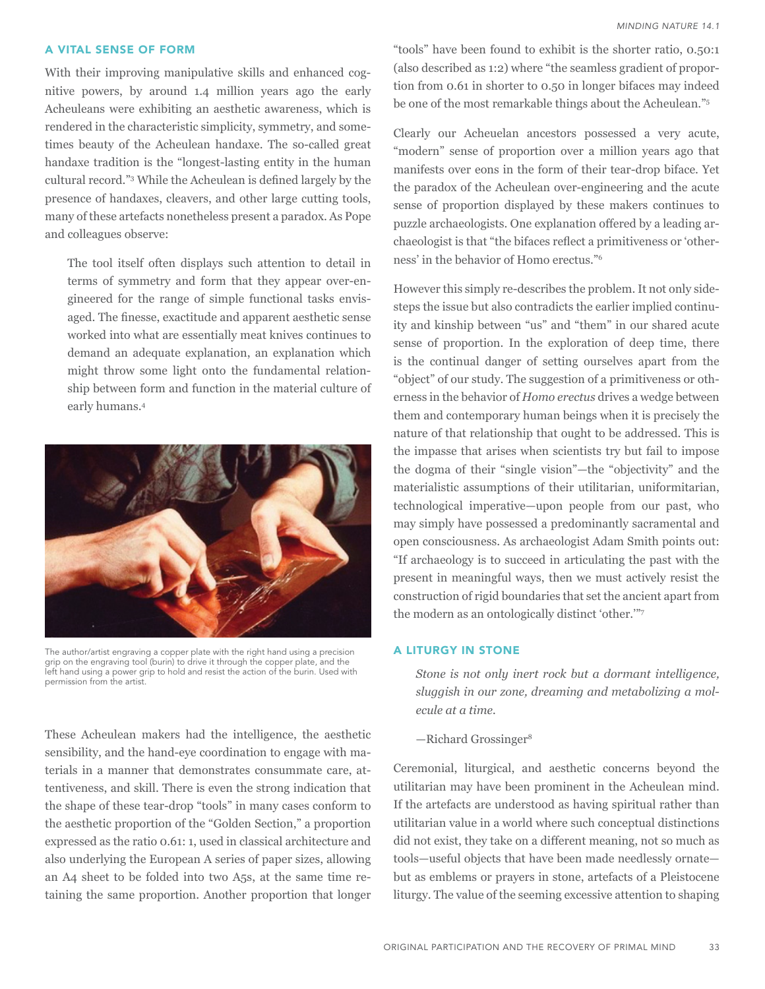### A VITAL SENSE OF FORM

With their improving manipulative skills and enhanced cognitive powers, by around 1.4 million years ago the early Acheuleans were exhibiting an aesthetic awareness, which is rendered in the characteristic simplicity, symmetry, and sometimes beauty of the Acheulean handaxe. The so-called great handaxe tradition is the "longest-lasting entity in the human cultural record."3 While the Acheulean is defined largely by the presence of handaxes, cleavers, and other large cutting tools, many of these artefacts nonetheless present a paradox. As Pope and colleagues observe:

The tool itself often displays such attention to detail in terms of symmetry and form that they appear over-engineered for the range of simple functional tasks envisaged. The finesse, exactitude and apparent aesthetic sense worked into what are essentially meat knives continues to demand an adequate explanation, an explanation which might throw some light onto the fundamental relationship between form and function in the material culture of early humans.4



The author/artist engraving a copper plate with the right hand using a precision grip on the engraving tool (burin) to drive it through the copper plate, and the left hand using a power grip to hold and resist the action of the burin. Used with permission from the artist.

These Acheulean makers had the intelligence, the aesthetic sensibility, and the hand-eye coordination to engage with materials in a manner that demonstrates consummate care, attentiveness, and skill. There is even the strong indication that the shape of these tear-drop "tools" in many cases conform to the aesthetic proportion of the "Golden Section," a proportion expressed as the ratio 0.61: 1, used in classical architecture and also underlying the European A series of paper sizes, allowing an A4 sheet to be folded into two A5s, at the same time retaining the same proportion. Another proportion that longer

"tools" have been found to exhibit is the shorter ratio, 0.50:1 (also described as 1:2) where "the seamless gradient of proportion from 0.61 in shorter to 0.50 in longer bifaces may indeed be one of the most remarkable things about the Acheulean."<sup>5</sup>

Clearly our Acheuelan ancestors possessed a very acute, "modern" sense of proportion over a million years ago that manifests over eons in the form of their tear-drop biface. Yet the paradox of the Acheulean over-engineering and the acute sense of proportion displayed by these makers continues to puzzle archaeologists. One explanation offered by a leading archaeologist is that "the bifaces reflect a primitiveness or 'otherness' in the behavior of Homo erectus."<sup>6</sup>

However this simply re-describes the problem. It not only sidesteps the issue but also contradicts the earlier implied continuity and kinship between "us" and "them" in our shared acute sense of proportion. In the exploration of deep time, there is the continual danger of setting ourselves apart from the "object" of our study. The suggestion of a primitiveness or otherness in the behavior of *Homo erectus* drives a wedge between them and contemporary human beings when it is precisely the nature of that relationship that ought to be addressed. This is the impasse that arises when scientists try but fail to impose the dogma of their "single vision"—the "objectivity" and the materialistic assumptions of their utilitarian, uniformitarian, technological imperative—upon people from our past, who may simply have possessed a predominantly sacramental and open consciousness. As archaeologist Adam Smith points out: "If archaeology is to succeed in articulating the past with the present in meaningful ways, then we must actively resist the construction of rigid boundaries that set the ancient apart from the modern as an ontologically distinct 'other.'"7

## A LITURGY IN STONE

*Stone is not only inert rock but a dormant intelligence, sluggish in our zone, dreaming and metabolizing a molecule at a time.*

 $-$ Richard Grossinger<sup>8</sup>

Ceremonial, liturgical, and aesthetic concerns beyond the utilitarian may have been prominent in the Acheulean mind. If the artefacts are understood as having spiritual rather than utilitarian value in a world where such conceptual distinctions did not exist, they take on a different meaning, not so much as tools—useful objects that have been made needlessly ornate but as emblems or prayers in stone, artefacts of a Pleistocene liturgy. The value of the seeming excessive attention to shaping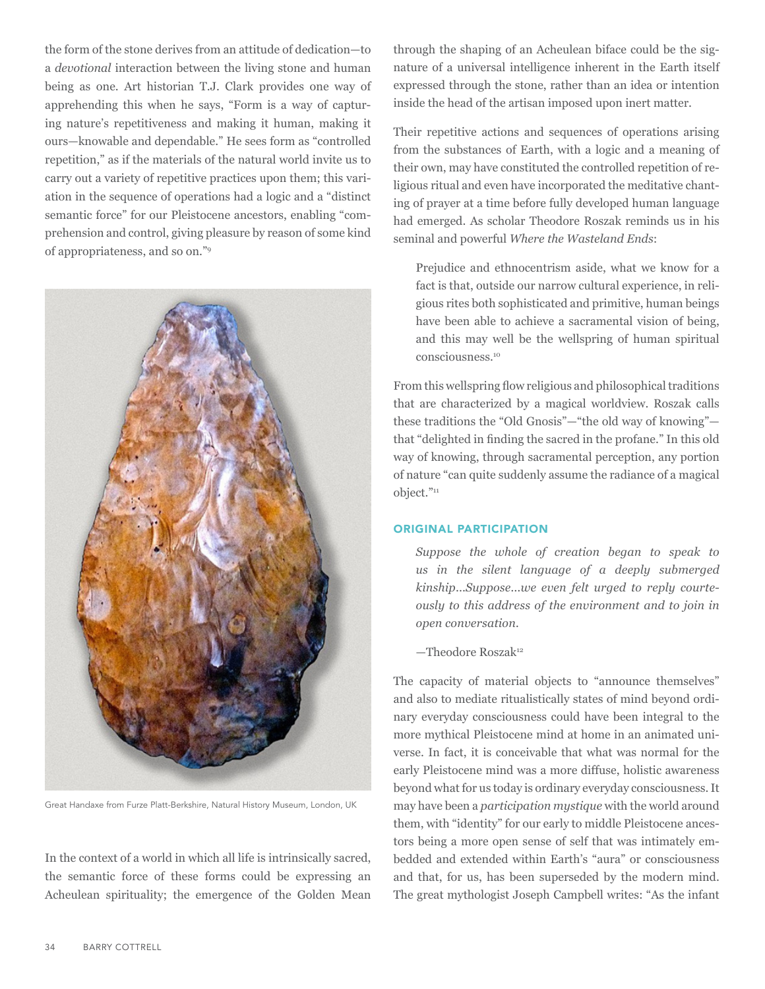the form of the stone derives from an attitude of dedication—to a *devotional* interaction between the living stone and human being as one. Art historian T.J. Clark provides one way of apprehending this when he says, "Form is a way of capturing nature's repetitiveness and making it human, making it ours—knowable and dependable." He sees form as "controlled repetition," as if the materials of the natural world invite us to carry out a variety of repetitive practices upon them; this variation in the sequence of operations had a logic and a "distinct semantic force" for our Pleistocene ancestors, enabling "comprehension and control, giving pleasure by reason of some kind of appropriateness, and so on."<sup>9</sup>



Great Handaxe from Furze Platt-Berkshire, Natural History Museum, London, UK

In the context of a world in which all life is intrinsically sacred, the semantic force of these forms could be expressing an Acheulean spirituality; the emergence of the Golden Mean through the shaping of an Acheulean biface could be the signature of a universal intelligence inherent in the Earth itself expressed through the stone, rather than an idea or intention inside the head of the artisan imposed upon inert matter.

Their repetitive actions and sequences of operations arising from the substances of Earth, with a logic and a meaning of their own, may have constituted the controlled repetition of religious ritual and even have incorporated the meditative chanting of prayer at a time before fully developed human language had emerged. As scholar Theodore Roszak reminds us in his seminal and powerful *Where the Wasteland Ends*:

Prejudice and ethnocentrism aside, what we know for a fact is that, outside our narrow cultural experience, in religious rites both sophisticated and primitive, human beings have been able to achieve a sacramental vision of being, and this may well be the wellspring of human spiritual consciousness.<sup>10</sup>

From this wellspring flow religious and philosophical traditions that are characterized by a magical worldview. Roszak calls these traditions the "Old Gnosis"—"the old way of knowing" that "delighted in finding the sacred in the profane." In this old way of knowing, through sacramental perception, any portion of nature "can quite suddenly assume the radiance of a magical object."<sup>11</sup>

# ORIGINAL PARTICIPATION

*Suppose the whole of creation began to speak to us in the silent language of a deeply submerged kinship*...*Suppose...we even felt urged to reply courteously to this address of the environment and to join in open conversation.*

 $-$ Theodore Roszak<sup>12</sup>

The capacity of material objects to "announce themselves" and also to mediate ritualistically states of mind beyond ordinary everyday consciousness could have been integral to the more mythical Pleistocene mind at home in an animated universe. In fact, it is conceivable that what was normal for the early Pleistocene mind was a more diffuse, holistic awareness beyond what for us today is ordinary everyday consciousness. It may have been a *participation mystique* with the world around them, with "identity" for our early to middle Pleistocene ancestors being a more open sense of self that was intimately embedded and extended within Earth's "aura" or consciousness and that, for us, has been superseded by the modern mind. The great mythologist Joseph Campbell writes: "As the infant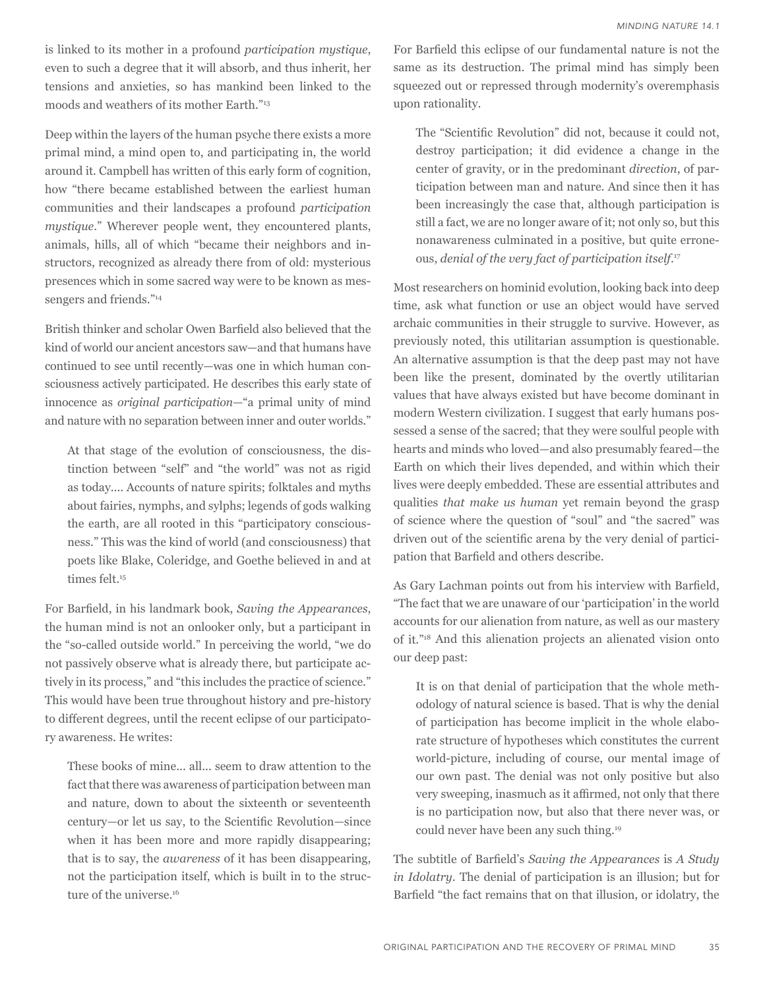is linked to its mother in a profound *participation mystique*, even to such a degree that it will absorb, and thus inherit, her tensions and anxieties, so has mankind been linked to the moods and weathers of its mother Earth."<sup>13</sup>

Deep within the layers of the human psyche there exists a more primal mind, a mind open to, and participating in, the world around it. Campbell has written of this early form of cognition, how "there became established between the earliest human communities and their landscapes a profound *participation mystique*." Wherever people went, they encountered plants, animals, hills, all of which "became their neighbors and instructors, recognized as already there from of old: mysterious presences which in some sacred way were to be known as messengers and friends."<sup>14</sup>

British thinker and scholar Owen Barfield also believed that the kind of world our ancient ancestors saw—and that humans have continued to see until recently—was one in which human consciousness actively participated. He describes this early state of innocence as *original participation*—"a primal unity of mind and nature with no separation between inner and outer worlds."

At that stage of the evolution of consciousness, the distinction between "self" and "the world" was not as rigid as today.... Accounts of nature spirits; folktales and myths about fairies, nymphs, and sylphs; legends of gods walking the earth, are all rooted in this "participatory consciousness." This was the kind of world (and consciousness) that poets like Blake, Coleridge, and Goethe believed in and at times felt.<sup>15</sup>

For Barfield, in his landmark book, *Saving the Appearances*, the human mind is not an onlooker only, but a participant in the "so-called outside world." In perceiving the world, "we do not passively observe what is already there, but participate actively in its process," and "this includes the practice of science." This would have been true throughout history and pre-history to different degrees, until the recent eclipse of our participatory awareness. He writes:

These books of mine... all... seem to draw attention to the fact that there was awareness of participation between man and nature, down to about the sixteenth or seventeenth century—or let us say, to the Scientific Revolution—since when it has been more and more rapidly disappearing; that is to say, the *awareness* of it has been disappearing, not the participation itself, which is built in to the structure of the universe.<sup>16</sup>

For Barfield this eclipse of our fundamental nature is not the same as its destruction. The primal mind has simply been squeezed out or repressed through modernity's overemphasis upon rationality.

The "Scientific Revolution" did not, because it could not, destroy participation; it did evidence a change in the center of gravity, or in the predominant *direction*, of participation between man and nature. And since then it has been increasingly the case that, although participation is still a fact, we are no longer aware of it; not only so, but this nonawareness culminated in a positive, but quite erroneous, *denial of the very fact of participation itself*. 17

Most researchers on hominid evolution, looking back into deep time, ask what function or use an object would have served archaic communities in their struggle to survive. However, as previously noted, this utilitarian assumption is questionable. An alternative assumption is that the deep past may not have been like the present, dominated by the overtly utilitarian values that have always existed but have become dominant in modern Western civilization. I suggest that early humans possessed a sense of the sacred; that they were soulful people with hearts and minds who loved—and also presumably feared—the Earth on which their lives depended, and within which their lives were deeply embedded. These are essential attributes and qualities *that make us human* yet remain beyond the grasp of science where the question of "soul" and "the sacred" was driven out of the scientific arena by the very denial of participation that Barfield and others describe.

As Gary Lachman points out from his interview with Barfield, "The fact that we are unaware of our 'participation' in the world accounts for our alienation from nature, as well as our mastery of it."18 And this alienation projects an alienated vision onto our deep past:

It is on that denial of participation that the whole methodology of natural science is based. That is why the denial of participation has become implicit in the whole elaborate structure of hypotheses which constitutes the current world-picture, including of course, our mental image of our own past. The denial was not only positive but also very sweeping, inasmuch as it affirmed, not only that there is no participation now, but also that there never was, or could never have been any such thing.<sup>19</sup>

The subtitle of Barfield's *Saving the Appearances* is *A Study in Idolatry*. The denial of participation is an illusion; but for Barfield "the fact remains that on that illusion, or idolatry, the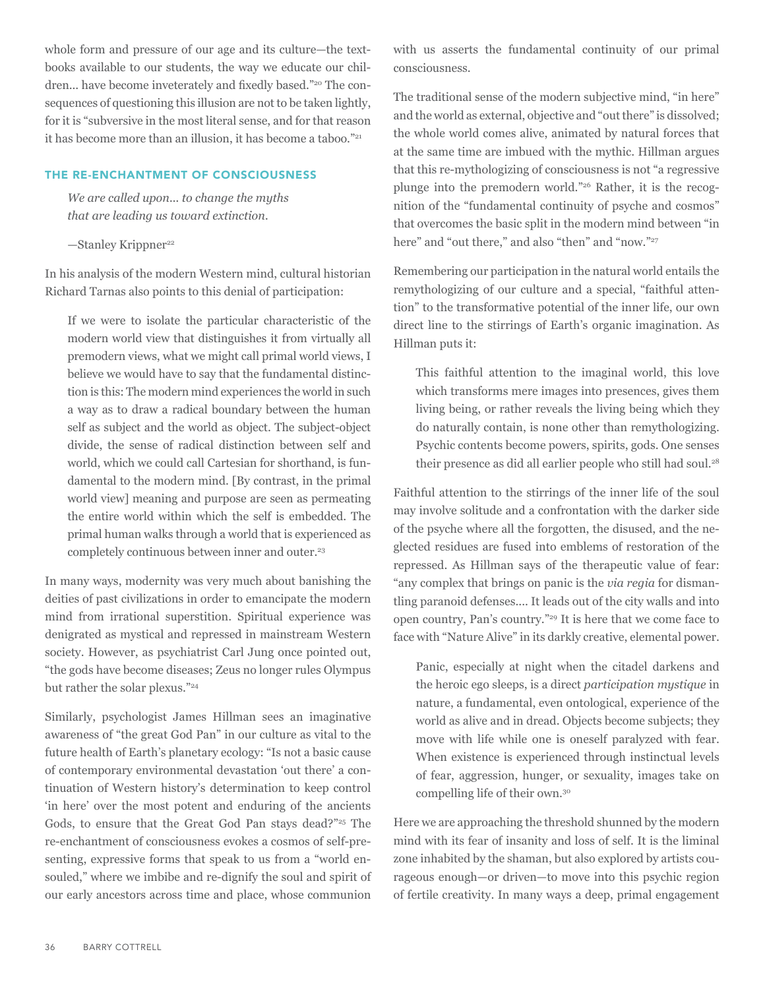whole form and pressure of our age and its culture—the textbooks available to our students, the way we educate our children... have become inveterately and fixedly based."<sup>20</sup> The consequences of questioning this illusion are not to be taken lightly, for it is "subversive in the most literal sense, and for that reason it has become more than an illusion, it has become a taboo."<sup>21</sup>

## THE RE-ENCHANTMENT OF CONSCIOUSNESS

*We are called upon... to change the myths that are leading us toward extinction.* 

 $-$ Stanley Krippner<sup>22</sup>

In his analysis of the modern Western mind, cultural historian Richard Tarnas also points to this denial of participation:

If we were to isolate the particular characteristic of the modern world view that distinguishes it from virtually all premodern views, what we might call primal world views, I believe we would have to say that the fundamental distinction is this: The modern mind experiences the world in such a way as to draw a radical boundary between the human self as subject and the world as object. The subject-object divide, the sense of radical distinction between self and world, which we could call Cartesian for shorthand, is fundamental to the modern mind. [By contrast, in the primal world view] meaning and purpose are seen as permeating the entire world within which the self is embedded. The primal human walks through a world that is experienced as completely continuous between inner and outer.<sup>23</sup>

In many ways, modernity was very much about banishing the deities of past civilizations in order to emancipate the modern mind from irrational superstition. Spiritual experience was denigrated as mystical and repressed in mainstream Western society. However, as psychiatrist Carl Jung once pointed out, "the gods have become diseases; Zeus no longer rules Olympus but rather the solar plexus."<sup>24</sup>

Similarly, psychologist James Hillman sees an imaginative awareness of "the great God Pan" in our culture as vital to the future health of Earth's planetary ecology: "Is not a basic cause of contemporary environmental devastation 'out there' a continuation of Western history's determination to keep control 'in here' over the most potent and enduring of the ancients Gods, to ensure that the Great God Pan stays dead?"<sup>25</sup> The re-enchantment of consciousness evokes a cosmos of self-presenting, expressive forms that speak to us from a "world ensouled," where we imbibe and re-dignify the soul and spirit of our early ancestors across time and place, whose communion

with us asserts the fundamental continuity of our primal consciousness.

The traditional sense of the modern subjective mind, "in here" and the world as external, objective and "out there" is dissolved; the whole world comes alive, animated by natural forces that at the same time are imbued with the mythic. Hillman argues that this re-mythologizing of consciousness is not "a regressive plunge into the premodern world."26 Rather, it is the recognition of the "fundamental continuity of psyche and cosmos" that overcomes the basic split in the modern mind between "in here" and "out there," and also "then" and "now."27

Remembering our participation in the natural world entails the remythologizing of our culture and a special, "faithful attention" to the transformative potential of the inner life, our own direct line to the stirrings of Earth's organic imagination. As Hillman puts it:

This faithful attention to the imaginal world, this love which transforms mere images into presences, gives them living being, or rather reveals the living being which they do naturally contain, is none other than remythologizing. Psychic contents become powers, spirits, gods. One senses their presence as did all earlier people who still had soul.<sup>28</sup>

Faithful attention to the stirrings of the inner life of the soul may involve solitude and a confrontation with the darker side of the psyche where all the forgotten, the disused, and the neglected residues are fused into emblems of restoration of the repressed. As Hillman says of the therapeutic value of fear: "any complex that brings on panic is the *via regia* for dismantling paranoid defenses.... It leads out of the city walls and into open country, Pan's country."<sup>29</sup> It is here that we come face to face with "Nature Alive" in its darkly creative, elemental power.

Panic, especially at night when the citadel darkens and the heroic ego sleeps, is a direct *participation mystique* in nature, a fundamental, even ontological, experience of the world as alive and in dread. Objects become subjects; they move with life while one is oneself paralyzed with fear. When existence is experienced through instinctual levels of fear, aggression, hunger, or sexuality, images take on compelling life of their own.<sup>30</sup>

Here we are approaching the threshold shunned by the modern mind with its fear of insanity and loss of self. It is the liminal zone inhabited by the shaman, but also explored by artists courageous enough—or driven—to move into this psychic region of fertile creativity. In many ways a deep, primal engagement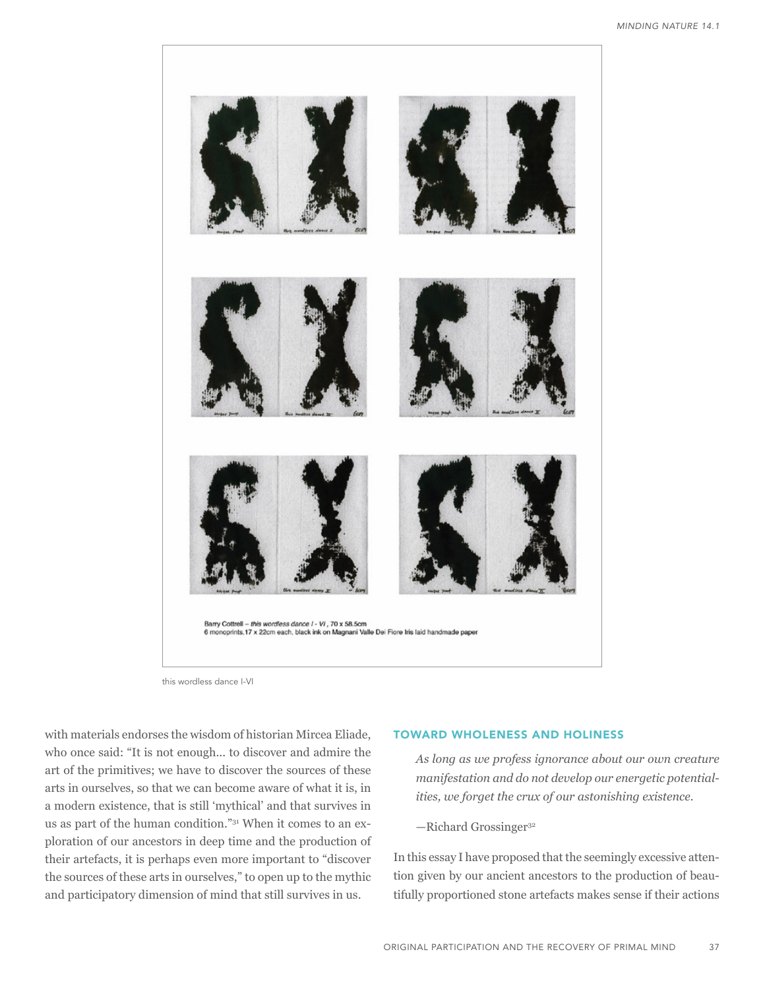

this wordless dance I-VI

with materials endorses the wisdom of historian Mircea Eliade, who once said: "It is not enough... to discover and admire the art of the primitives; we have to discover the sources of these arts in ourselves, so that we can become aware of what it is, in a modern existence, that is still 'mythical' and that survives in us as part of the human condition."31 When it comes to an exploration of our ancestors in deep time and the production of their artefacts, it is perhaps even more important to "discover the sources of these arts in ourselves," to open up to the mythic and participatory dimension of mind that still survives in us.

## TOWARD WHOLENESS AND HOLINESS

*As long as we profess ignorance about our own creature manifestation and do not develop our energetic potentialities, we forget the crux of our astonishing existence.*

 $-$ Richard Grossinger<sup>32</sup>

In this essay I have proposed that the seemingly excessive attention given by our ancient ancestors to the production of beautifully proportioned stone artefacts makes sense if their actions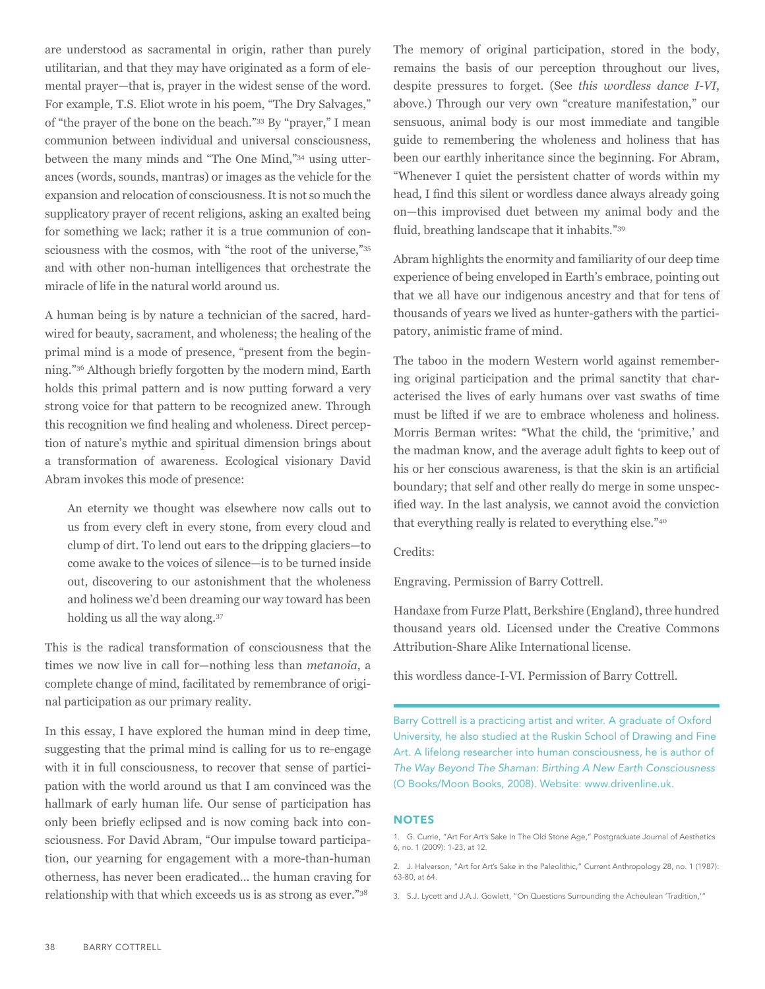are understood as sacramental in origin, rather than purely utilitarian, and that they may have originated as a form of elemental prayer—that is, prayer in the widest sense of the word. For example, T.S. Eliot wrote in his poem, "The Dry Salvages," of "the prayer of the bone on the beach."33 By "prayer," I mean communion between individual and universal consciousness, between the many minds and "The One Mind,"34 using utterances (words, sounds, mantras) or images as the vehicle for the expansion and relocation of consciousness. It is not so much the supplicatory prayer of recent religions, asking an exalted being for something we lack; rather it is a true communion of consciousness with the cosmos, with "the root of the universe,"35 and with other non-human intelligences that orchestrate the miracle of life in the natural world around us.

A human being is by nature a technician of the sacred, hardwired for beauty, sacrament, and wholeness; the healing of the primal mind is a mode of presence, "present from the beginning."36 Although briefly forgotten by the modern mind, Earth holds this primal pattern and is now putting forward a very strong voice for that pattern to be recognized anew. Through this recognition we find healing and wholeness. Direct perception of nature's mythic and spiritual dimension brings about a transformation of awareness. Ecological visionary David Abram invokes this mode of presence:

An eternity we thought was elsewhere now calls out to us from every cleft in every stone, from every cloud and clump of dirt. To lend out ears to the dripping glaciers—to come awake to the voices of silence—is to be turned inside out, discovering to our astonishment that the wholeness and holiness we'd been dreaming our way toward has been holding us all the way along.<sup>37</sup>

This is the radical transformation of consciousness that the times we now live in call for—nothing less than *metanoia*, a complete change of mind, facilitated by remembrance of original participation as our primary reality.

In this essay, I have explored the human mind in deep time, suggesting that the primal mind is calling for us to re-engage with it in full consciousness, to recover that sense of participation with the world around us that I am convinced was the hallmark of early human life. Our sense of participation has only been briefly eclipsed and is now coming back into consciousness. For David Abram, "Our impulse toward participation, our yearning for engagement with a more-than-human otherness, has never been eradicated... the human craving for relationship with that which exceeds us is as strong as ever."<sup>38</sup>

The memory of original participation, stored in the body, remains the basis of our perception throughout our lives, despite pressures to forget. (See *this wordless dance I-VI*, above.) Through our very own "creature manifestation," our sensuous, animal body is our most immediate and tangible guide to remembering the wholeness and holiness that has been our earthly inheritance since the beginning. For Abram, "Whenever I quiet the persistent chatter of words within my head, I find this silent or wordless dance always already going on—this improvised duet between my animal body and the fluid, breathing landscape that it inhabits."39

Abram highlights the enormity and familiarity of our deep time experience of being enveloped in Earth's embrace, pointing out that we all have our indigenous ancestry and that for tens of thousands of years we lived as hunter-gathers with the participatory, animistic frame of mind.

The taboo in the modern Western world against remembering original participation and the primal sanctity that characterised the lives of early humans over vast swaths of time must be lifted if we are to embrace wholeness and holiness. Morris Berman writes: "What the child, the 'primitive,' and the madman know, and the average adult fights to keep out of his or her conscious awareness, is that the skin is an artificial boundary; that self and other really do merge in some unspecified way. In the last analysis, we cannot avoid the conviction that everything really is related to everything else."<sup>40</sup>

## Credits:

Engraving. Permission of Barry Cottrell.

Handaxe from Furze Platt, Berkshire (England), three hundred thousand years old. Licensed under the Creative Commons Attribution-Share Alike International license.

this wordless dance-I-VI. Permission of Barry Cottrell.

Barry Cottrell is a practicing artist and writer. A graduate of Oxford University, he also studied at the Ruskin School of Drawing and Fine Art. A lifelong researcher into human consciousness, he is author of *The Way Beyond The Shaman: Birthing A New Earth Consciousness* (O Books/Moon Books, 2008). Website: [www.drivenline.uk](http://www.drivenline.uk).

#### **NOTES**

<sup>1.</sup> G. Currie, "Art For Art's Sake In The Old Stone Age," Postgraduate Journal of Aesthetics 6, no. 1 (2009): 1-23, at 12.

<sup>2.</sup> J. Halverson, "Art for Art's Sake in the Paleolithic," Current Anthropology 28, no. 1 (1987): 63-80, at 64.

<sup>3.</sup> S.J. Lycett and J.A.J. Gowlett, "On Questions Surrounding the Acheulean 'Tradition,'"